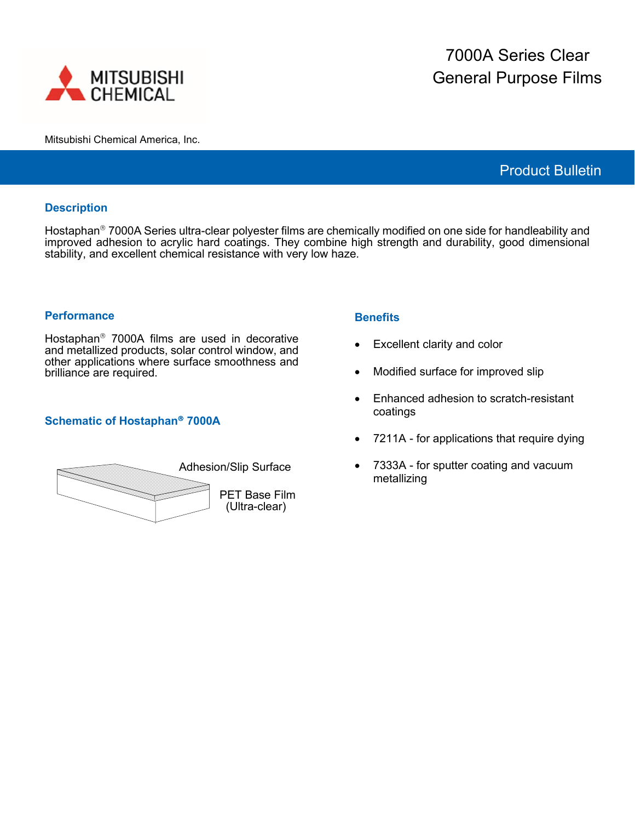

Mitsubishi Chemical America, Inc.

# Product Bulletin

#### **Description**

Hostaphan<sup>®</sup> 7000A Series ultra-clear polyester films are chemically modified on one side for handleability and improved adhesion to acrylic hard coatings. They combine high strength and durability, good dimensional stability, and excellent chemical resistance with very low haze.

#### **Performance**

Hostaphan<sup>®</sup> 7000A films are used in decorative and metallized products, solar control window, and other applications where surface smoothness and brilliance are required.

## **Schematic of Hostaphan 7000A**

| <b>Adhesion/Slip Surface</b>          |  |  |
|---------------------------------------|--|--|
| <b>PET Base Film</b><br>(Ultra-clear) |  |  |

## **Benefits**

- Excellent clarity and color
- Modified surface for improved slip
- Enhanced adhesion to scratch-resistant coatings
- 7211A for applications that require dying
- 7333A for sputter coating and vacuum metallizing